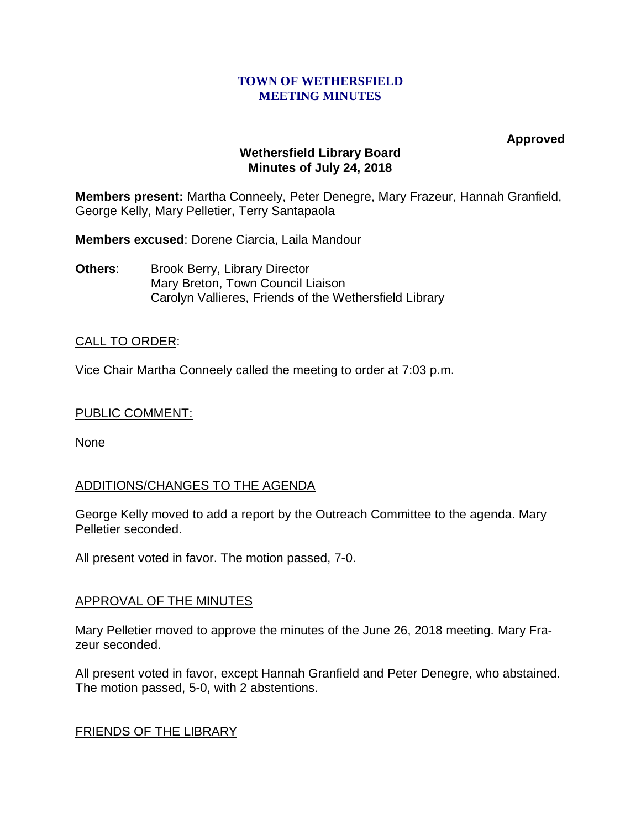#### **TOWN OF WETHERSFIELD MEETING MINUTES**

**Approved**

### **Wethersfield Library Board Minutes of July 24, 2018**

**Members present:** Martha Conneely, Peter Denegre, Mary Frazeur, Hannah Granfield, George Kelly, Mary Pelletier, Terry Santapaola

**Members excused**: Dorene Ciarcia, Laila Mandour

**Others:** Brook Berry, Library Director Mary Breton, Town Council Liaison Carolyn Vallieres, Friends of the Wethersfield Library

## CALL TO ORDER:

Vice Chair Martha Conneely called the meeting to order at 7:03 p.m.

### PUBLIC COMMENT:

None

# ADDITIONS/CHANGES TO THE AGENDA

George Kelly moved to add a report by the Outreach Committee to the agenda. Mary Pelletier seconded.

All present voted in favor. The motion passed, 7-0.

### APPROVAL OF THE MINUTES

Mary Pelletier moved to approve the minutes of the June 26, 2018 meeting. Mary Frazeur seconded.

All present voted in favor, except Hannah Granfield and Peter Denegre, who abstained. The motion passed, 5-0, with 2 abstentions.

### FRIENDS OF THE LIBRARY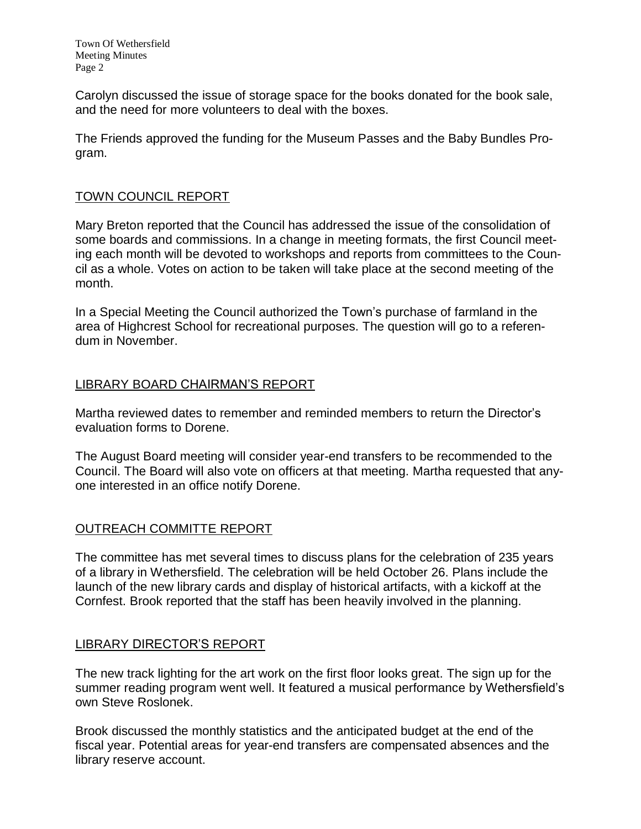Town Of Wethersfield Meeting Minutes Page 2

Carolyn discussed the issue of storage space for the books donated for the book sale, and the need for more volunteers to deal with the boxes.

The Friends approved the funding for the Museum Passes and the Baby Bundles Program.

## TOWN COUNCIL REPORT

Mary Breton reported that the Council has addressed the issue of the consolidation of some boards and commissions. In a change in meeting formats, the first Council meeting each month will be devoted to workshops and reports from committees to the Council as a whole. Votes on action to be taken will take place at the second meeting of the month.

In a Special Meeting the Council authorized the Town's purchase of farmland in the area of Highcrest School for recreational purposes. The question will go to a referendum in November.

## LIBRARY BOARD CHAIRMAN'S REPORT

Martha reviewed dates to remember and reminded members to return the Director's evaluation forms to Dorene.

The August Board meeting will consider year-end transfers to be recommended to the Council. The Board will also vote on officers at that meeting. Martha requested that anyone interested in an office notify Dorene.

### OUTREACH COMMITTE REPORT

The committee has met several times to discuss plans for the celebration of 235 years of a library in Wethersfield. The celebration will be held October 26. Plans include the launch of the new library cards and display of historical artifacts, with a kickoff at the Cornfest. Brook reported that the staff has been heavily involved in the planning.

### LIBRARY DIRECTOR'S REPORT

The new track lighting for the art work on the first floor looks great. The sign up for the summer reading program went well. It featured a musical performance by Wethersfield's own Steve Roslonek.

Brook discussed the monthly statistics and the anticipated budget at the end of the fiscal year. Potential areas for year-end transfers are compensated absences and the library reserve account.